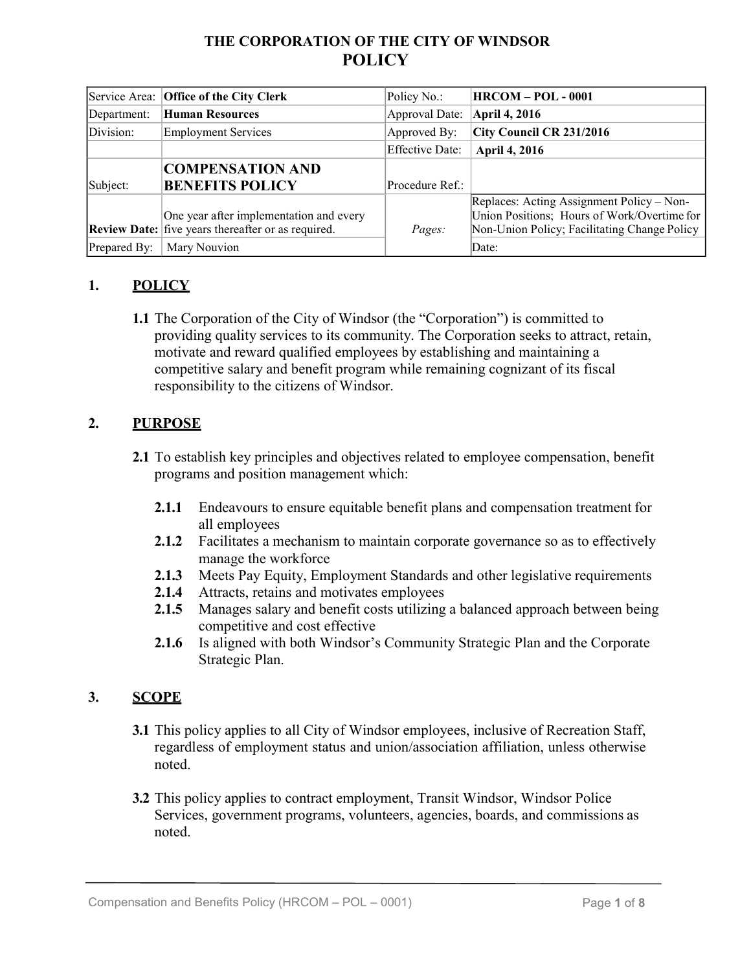# **THE CORPORATION OF THE CITY OF WINDSOR POLICY**

|              | Service Area: Office of the City Clerk                                                        | Policy No.:            | <b>HRCOM - POL - 0001</b>                                                                                                                |
|--------------|-----------------------------------------------------------------------------------------------|------------------------|------------------------------------------------------------------------------------------------------------------------------------------|
| Department:  | <b>Human Resources</b>                                                                        | Approval Date:         | April 4, 2016                                                                                                                            |
| Division:    | <b>Employment Services</b>                                                                    | Approved By:           | City Council CR 231/2016                                                                                                                 |
|              |                                                                                               | <b>Effective Date:</b> | <b>April 4, 2016</b>                                                                                                                     |
|              | <b>COMPENSATION AND</b>                                                                       |                        |                                                                                                                                          |
| Subject:     | <b>BENEFITS POLICY</b>                                                                        | Procedure Ref.:        |                                                                                                                                          |
|              | One year after implementation and every<br>Review Date: five years thereafter or as required. | Pages:                 | Replaces: Acting Assignment Policy – Non-<br>Union Positions; Hours of Work/Overtime for<br>Non-Union Policy; Facilitating Change Policy |
| Prepared By: | Mary Nouvion                                                                                  |                        | Date:                                                                                                                                    |

## **1. POLICY**

**1.1** The Corporation of the City of Windsor (the "Corporation") is committed to providing quality services to its community. The Corporation seeks to attract, retain, motivate and reward qualified employees by establishing and maintaining a competitive salary and benefit program while remaining cognizant of its fiscal responsibility to the citizens of Windsor.

### **2. PURPOSE**

- **2.1** To establish key principles and objectives related to employee compensation, benefit programs and position management which:
	- **2.1.1** Endeavours to ensure equitable benefit plans and compensation treatment for all employees
	- **2.1.2** Facilitates a mechanism to maintain corporate governance so as to effectively manage the workforce
	- **2.1.3** Meets Pay Equity, Employment Standards and other legislative requirements
	- **2.1.4** Attracts, retains and motivates employees
	- **2.1.5** Manages salary and benefit costs utilizing a balanced approach between being competitive and cost effective
	- **2.1.6** Is aligned with both Windsor's Community Strategic Plan and the Corporate Strategic Plan.

### **3. SCOPE**

- **3.1** This policy applies to all City of Windsor employees, inclusive of Recreation Staff, regardless of employment status and union/association affiliation, unless otherwise noted.
- **3.2** This policy applies to contract employment, Transit Windsor, Windsor Police Services, government programs, volunteers, agencies, boards, and commissions as noted.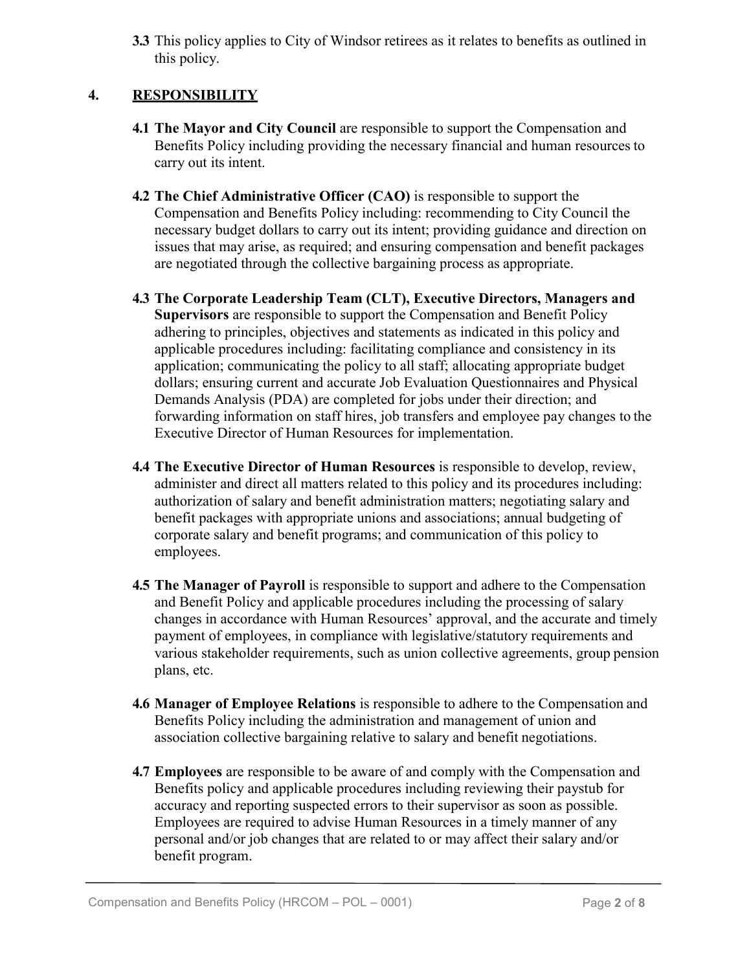**3.3** This policy applies to City of Windsor retirees as it relates to benefits as outlined in this policy.

## **4. RESPONSIBILITY**

- **4.1 The Mayor and City Council** are responsible to support the Compensation and Benefits Policy including providing the necessary financial and human resources to carry out its intent.
- **4.2 The Chief Administrative Officer (CAO)** is responsible to support the Compensation and Benefits Policy including: recommending to City Council the necessary budget dollars to carry out its intent; providing guidance and direction on issues that may arise, as required; and ensuring compensation and benefit packages are negotiated through the collective bargaining process as appropriate.
- **4.3 The Corporate Leadership Team (CLT), Executive Directors, Managers and Supervisors** are responsible to support the Compensation and Benefit Policy adhering to principles, objectives and statements as indicated in this policy and applicable procedures including: facilitating compliance and consistency in its application; communicating the policy to all staff; allocating appropriate budget dollars; ensuring current and accurate Job Evaluation Questionnaires and Physical Demands Analysis (PDA) are completed for jobs under their direction; and forwarding information on staff hires, job transfers and employee pay changes to the Executive Director of Human Resources for implementation.
- **4.4 The Executive Director of Human Resources** is responsible to develop, review, administer and direct all matters related to this policy and its procedures including: authorization of salary and benefit administration matters; negotiating salary and benefit packages with appropriate unions and associations; annual budgeting of corporate salary and benefit programs; and communication of this policy to employees.
- **4.5 The Manager of Payroll** is responsible to support and adhere to the Compensation and Benefit Policy and applicable procedures including the processing of salary changes in accordance with Human Resources' approval, and the accurate and timely payment of employees, in compliance with legislative/statutory requirements and various stakeholder requirements, such as union collective agreements, group pension plans, etc.
- **4.6 Manager of Employee Relations** is responsible to adhere to the Compensation and Benefits Policy including the administration and management of union and association collective bargaining relative to salary and benefit negotiations.
- **4.7 Employees** are responsible to be aware of and comply with the Compensation and Benefits policy and applicable procedures including reviewing their paystub for accuracy and reporting suspected errors to their supervisor as soon as possible. Employees are required to advise Human Resources in a timely manner of any personal and/or job changes that are related to or may affect their salary and/or benefit program.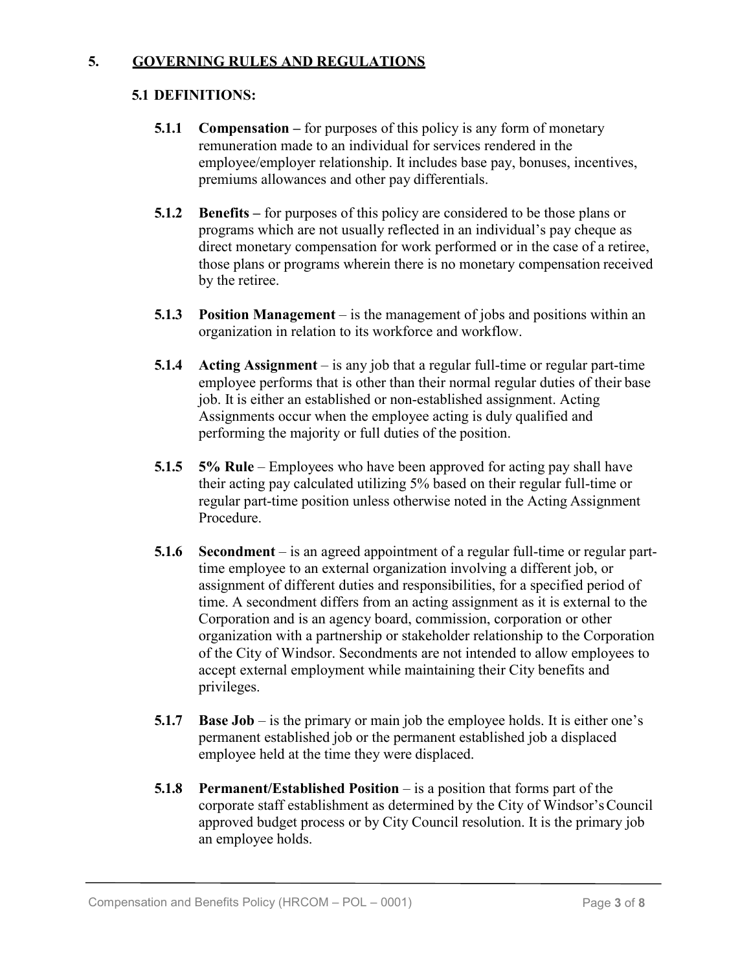#### **5. GOVERNING RULES AND REGULATIONS**

#### **5.1 DEFINITIONS:**

- **5.1.1 Compensation –** for purposes of this policy is any form of monetary remuneration made to an individual for services rendered in the employee/employer relationship. It includes base pay, bonuses, incentives, premiums allowances and other pay differentials.
- **5.1.2 Benefits –** for purposes of this policy are considered to be those plans or programs which are not usually reflected in an individual's pay cheque as direct monetary compensation for work performed or in the case of a retiree, those plans or programs wherein there is no monetary compensation received by the retiree.
- **5.1.3 Position Management**  is the management of jobs and positions within an organization in relation to its workforce and workflow.
- **5.1.4 Acting Assignment**  is any job that a regular full-time or regular part-time employee performs that is other than their normal regular duties of their base job. It is either an established or non-established assignment. Acting Assignments occur when the employee acting is duly qualified and performing the majority or full duties of the position.
- **5.1.5 5% Rule**  Employees who have been approved for acting pay shall have their acting pay calculated utilizing 5% based on their regular full-time or regular part-time position unless otherwise noted in the Acting Assignment Procedure.
- **5.1.6 Secondment**  is an agreed appointment of a regular full-time or regular parttime employee to an external organization involving a different job, or assignment of different duties and responsibilities, for a specified period of time. A secondment differs from an acting assignment as it is external to the Corporation and is an agency board, commission, corporation or other organization with a partnership or stakeholder relationship to the Corporation of the City of Windsor. Secondments are not intended to allow employees to accept external employment while maintaining their City benefits and privileges.
- **5.1.7 Base Job** is the primary or main job the employee holds. It is either one's permanent established job or the permanent established job a displaced employee held at the time they were displaced.
- **5.1.8 Permanent/Established Position**  is a position that forms part of the corporate staff establishment as determined by the City of Windsor'sCouncil approved budget process or by City Council resolution. It is the primary job an employee holds.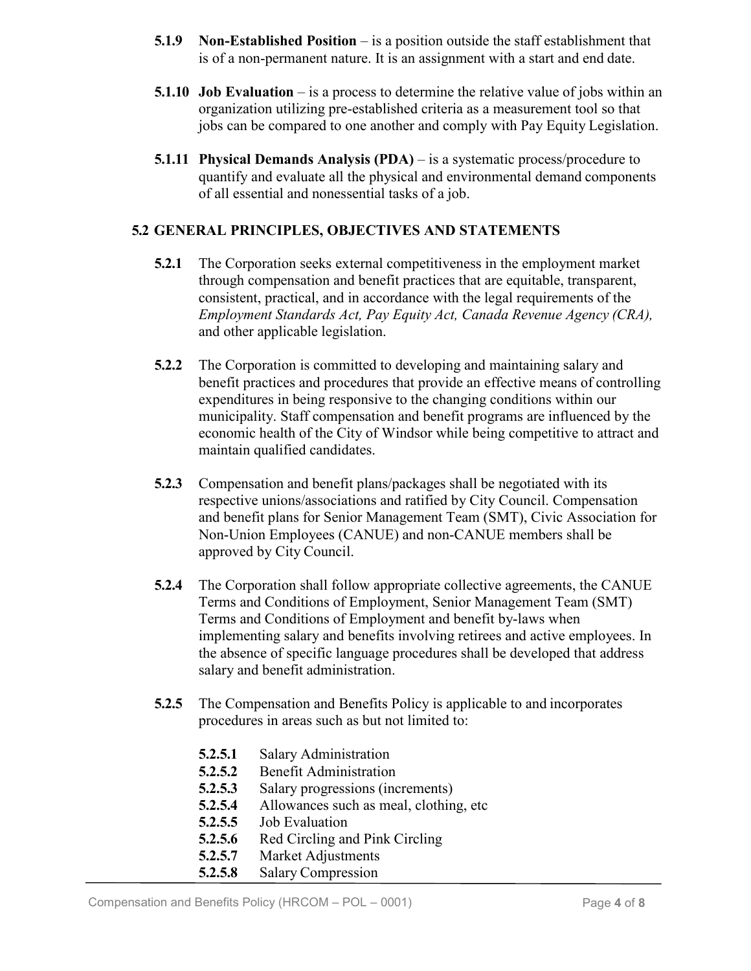- **5.1.9 Non-Established Position**  is a position outside the staff establishment that is of a non-permanent nature. It is an assignment with a start and end date.
- **5.1.10 Job Evaluation** is a process to determine the relative value of jobs within an organization utilizing pre-established criteria as a measurement tool so that jobs can be compared to one another and comply with Pay Equity Legislation.
- **5.1.11 Physical Demands Analysis (PDA)** is a systematic process/procedure to quantify and evaluate all the physical and environmental demand components of all essential and nonessential tasks of a job.

#### **5.2 GENERAL PRINCIPLES, OBJECTIVES AND STATEMENTS**

- **5.2.1** The Corporation seeks external competitiveness in the employment market through compensation and benefit practices that are equitable, transparent, consistent, practical, and in accordance with the legal requirements of the *Employment Standards Act, Pay Equity Act, Canada Revenue Agency (CRA),*  and other applicable legislation.
- **5.2.2** The Corporation is committed to developing and maintaining salary and benefit practices and procedures that provide an effective means of controlling expenditures in being responsive to the changing conditions within our municipality. Staff compensation and benefit programs are influenced by the economic health of the City of Windsor while being competitive to attract and maintain qualified candidates.
- **5.2.3** Compensation and benefit plans/packages shall be negotiated with its respective unions/associations and ratified by City Council. Compensation and benefit plans for Senior Management Team (SMT), Civic Association for Non-Union Employees (CANUE) and non-CANUE members shall be approved by City Council.
- **5.2.4** The Corporation shall follow appropriate collective agreements, the CANUE Terms and Conditions of Employment, Senior Management Team (SMT) Terms and Conditions of Employment and benefit by-laws when implementing salary and benefits involving retirees and active employees. In the absence of specific language procedures shall be developed that address salary and benefit administration.
- **5.2.5** The Compensation and Benefits Policy is applicable to and incorporates procedures in areas such as but not limited to:
	- **5.2.5.1** Salary Administration
	- **5.2.5.2** Benefit Administration
	- **5.2.5.3** Salary progressions (increments)
	- **5.2.5.4** Allowances such as meal, clothing, etc
	- **5.2.5.5** Job Evaluation
	- **5.2.5.6** Red Circling and Pink Circling
	- **5.2.5.7** Market Adjustments
	- **5.2.5.8** Salary Compression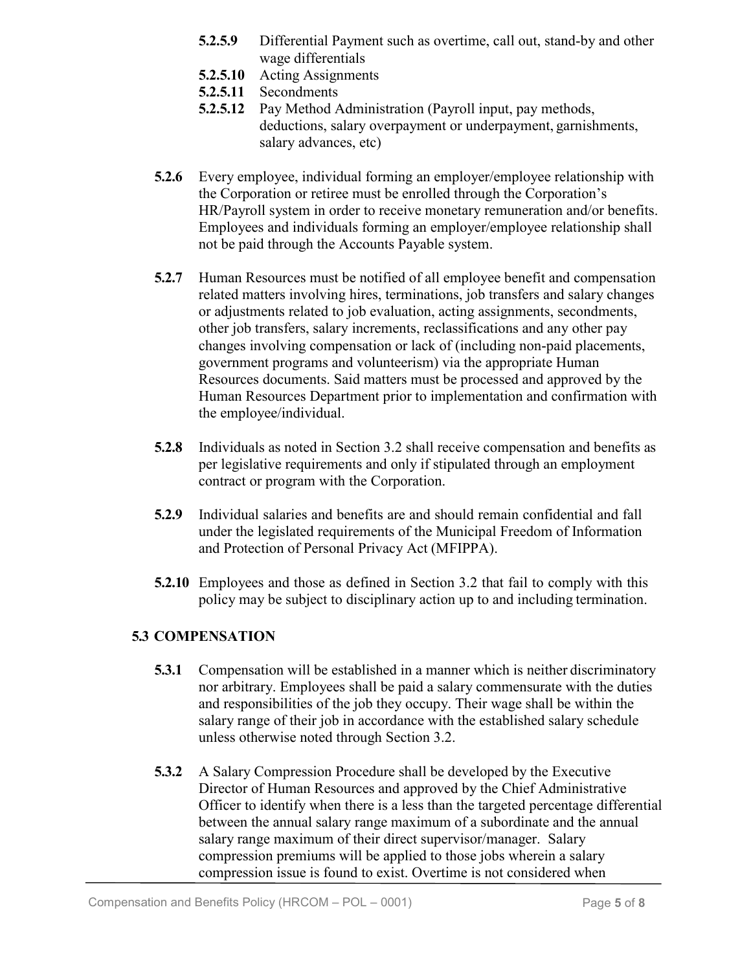- **5.2.5.9** Differential Payment such as overtime, call out, stand-by and other wage differentials
- **5.2.5.10** Acting Assignments
- **5.2.5.11** Secondments
- **5.2.5.12** Pay Method Administration (Payroll input, pay methods, deductions, salary overpayment or underpayment, garnishments, salary advances, etc)
- **5.2.6** Every employee, individual forming an employer/employee relationship with the Corporation or retiree must be enrolled through the Corporation's HR/Payroll system in order to receive monetary remuneration and/or benefits. Employees and individuals forming an employer/employee relationship shall not be paid through the Accounts Payable system.
- **5.2.7** Human Resources must be notified of all employee benefit and compensation related matters involving hires, terminations, job transfers and salary changes or adjustments related to job evaluation, acting assignments, secondments, other job transfers, salary increments, reclassifications and any other pay changes involving compensation or lack of (including non-paid placements, government programs and volunteerism) via the appropriate Human Resources documents. Said matters must be processed and approved by the Human Resources Department prior to implementation and confirmation with the employee/individual.
- **5.2.8** Individuals as noted in Section 3.2 shall receive compensation and benefits as per legislative requirements and only if stipulated through an employment contract or program with the Corporation.
- **5.2.9** Individual salaries and benefits are and should remain confidential and fall under the legislated requirements of the Municipal Freedom of Information and Protection of Personal Privacy Act (MFIPPA).
- **5.2.10** Employees and those as defined in Section 3.2 that fail to comply with this policy may be subject to disciplinary action up to and including termination.

## **5.3 COMPENSATION**

- **5.3.1** Compensation will be established in a manner which is neither discriminatory nor arbitrary. Employees shall be paid a salary commensurate with the duties and responsibilities of the job they occupy. Their wage shall be within the salary range of their job in accordance with the established salary schedule unless otherwise noted through Section 3.2.
- **5.3.2** A Salary Compression Procedure shall be developed by the Executive Director of Human Resources and approved by the Chief Administrative Officer to identify when there is a less than the targeted percentage differential between the annual salary range maximum of a subordinate and the annual salary range maximum of their direct supervisor/manager. Salary compression premiums will be applied to those jobs wherein a salary compression issue is found to exist. Overtime is not considered when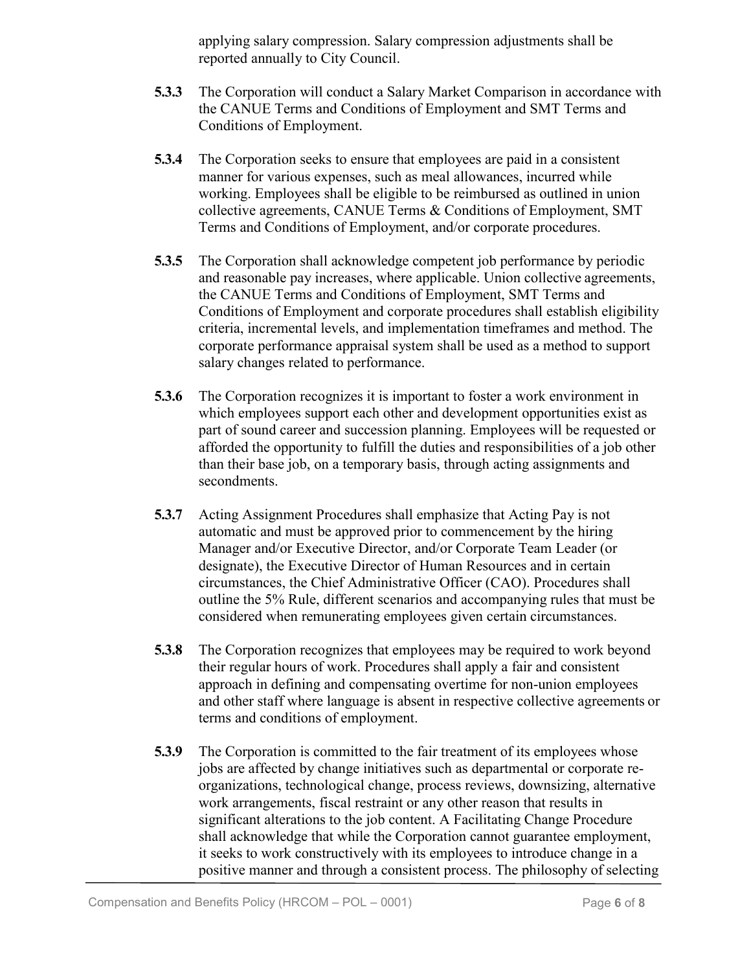applying salary compression. Salary compression adjustments shall be reported annually to City Council.

- **5.3.3** The Corporation will conduct a Salary Market Comparison in accordance with the CANUE Terms and Conditions of Employment and SMT Terms and Conditions of Employment.
- **5.3.4** The Corporation seeks to ensure that employees are paid in a consistent manner for various expenses, such as meal allowances, incurred while working. Employees shall be eligible to be reimbursed as outlined in union collective agreements, CANUE Terms & Conditions of Employment, SMT Terms and Conditions of Employment, and/or corporate procedures.
- **5.3.5** The Corporation shall acknowledge competent job performance by periodic and reasonable pay increases, where applicable. Union collective agreements, the CANUE Terms and Conditions of Employment, SMT Terms and Conditions of Employment and corporate procedures shall establish eligibility criteria, incremental levels, and implementation timeframes and method. The corporate performance appraisal system shall be used as a method to support salary changes related to performance.
- **5.3.6** The Corporation recognizes it is important to foster a work environment in which employees support each other and development opportunities exist as part of sound career and succession planning. Employees will be requested or afforded the opportunity to fulfill the duties and responsibilities of a job other than their base job, on a temporary basis, through acting assignments and secondments.
- **5.3.7** Acting Assignment Procedures shall emphasize that Acting Pay is not automatic and must be approved prior to commencement by the hiring Manager and/or Executive Director, and/or Corporate Team Leader (or designate), the Executive Director of Human Resources and in certain circumstances, the Chief Administrative Officer (CAO). Procedures shall outline the 5% Rule, different scenarios and accompanying rules that must be considered when remunerating employees given certain circumstances.
- **5.3.8** The Corporation recognizes that employees may be required to work beyond their regular hours of work. Procedures shall apply a fair and consistent approach in defining and compensating overtime for non-union employees and other staff where language is absent in respective collective agreements or terms and conditions of employment.
- **5.3.9** The Corporation is committed to the fair treatment of its employees whose jobs are affected by change initiatives such as departmental or corporate reorganizations, technological change, process reviews, downsizing, alternative work arrangements, fiscal restraint or any other reason that results in significant alterations to the job content. A Facilitating Change Procedure shall acknowledge that while the Corporation cannot guarantee employment, it seeks to work constructively with its employees to introduce change in a positive manner and through a consistent process. The philosophy of selecting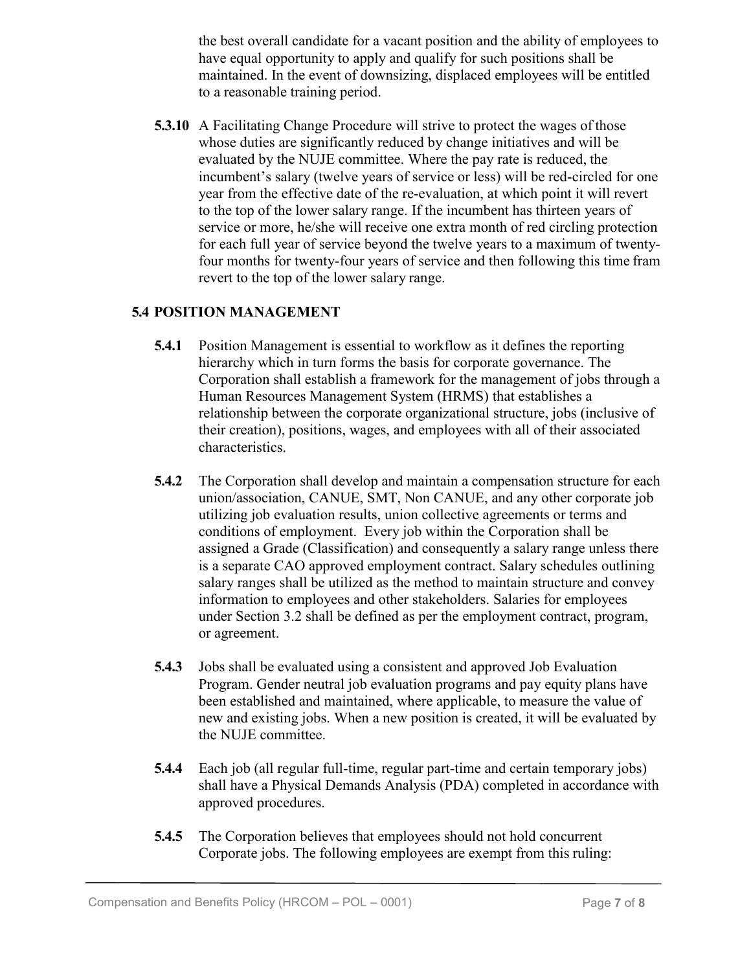the best overall candidate for a vacant position and the ability of employees to have equal opportunity to apply and qualify for such positions shall be maintained. In the event of downsizing, displaced employees will be entitled to a reasonable training period.

**5.3.10** A Facilitating Change Procedure will strive to protect the wages of those whose duties are significantly reduced by change initiatives and will be evaluated by the NUJE committee. Where the pay rate is reduced, the incumbent's salary (twelve years of service or less) will be red-circled for one year from the effective date of the re-evaluation, at which point it will revert to the top of the lower salary range. If the incumbent has thirteen years of service or more, he/she will receive one extra month of red circling protection for each full year of service beyond the twelve years to a maximum of twentyfour months for twenty-four years of service and then following this time fram revert to the top of the lower salary range.

#### **5.4 POSITION MANAGEMENT**

- **5.4.1** Position Management is essential to workflow as it defines the reporting hierarchy which in turn forms the basis for corporate governance. The Corporation shall establish a framework for the management of jobs through a Human Resources Management System (HRMS) that establishes a relationship between the corporate organizational structure, jobs (inclusive of their creation), positions, wages, and employees with all of their associated characteristics.
- **5.4.2** The Corporation shall develop and maintain a compensation structure for each union/association, CANUE, SMT, Non CANUE, and any other corporate job utilizing job evaluation results, union collective agreements or terms and conditions of employment. Every job within the Corporation shall be assigned a Grade (Classification) and consequently a salary range unless there is a separate CAO approved employment contract. Salary schedules outlining salary ranges shall be utilized as the method to maintain structure and convey information to employees and other stakeholders. Salaries for employees under Section 3.2 shall be defined as per the employment contract, program, or agreement.
- **5.4.3** Jobs shall be evaluated using a consistent and approved Job Evaluation Program. Gender neutral job evaluation programs and pay equity plans have been established and maintained, where applicable, to measure the value of new and existing jobs. When a new position is created, it will be evaluated by the NUJE committee.
- **5.4.4** Each job (all regular full-time, regular part-time and certain temporary jobs) shall have a Physical Demands Analysis (PDA) completed in accordance with approved procedures.
- **5.4.5** The Corporation believes that employees should not hold concurrent Corporate jobs. The following employees are exempt from this ruling: